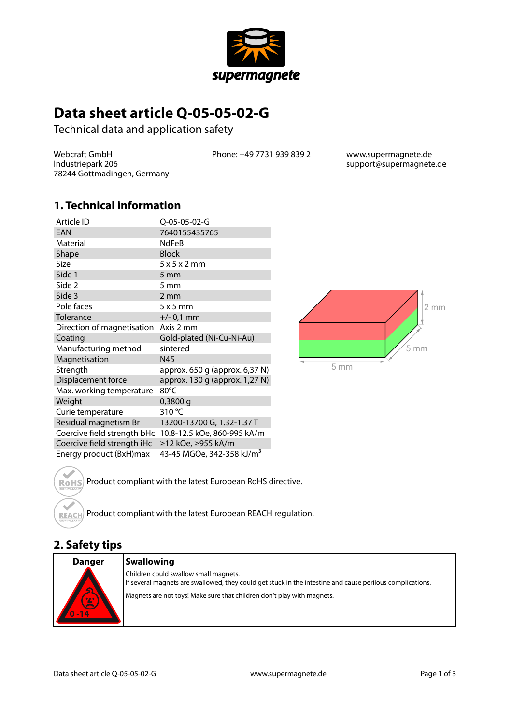

# **Data sheet article Q-05-05-02-G**

Technical data and application safety

Webcraft GmbH Industriepark 206 78244 Gottmadingen, Germany Phone: +49 7731 939 839 2 www.supermagnete.de

support@supermagnete.de

### **1. Technical information**

| Article ID                  | Q-05-05-02-G                                            |
|-----------------------------|---------------------------------------------------------|
| EAN                         | 7640155435765                                           |
| Material                    | <b>NdFeB</b>                                            |
| Shape                       | <b>Block</b>                                            |
| Size                        | 5x5x2mm                                                 |
| Side 1                      | $5 \text{ mm}$                                          |
| Side 2                      | 5 mm                                                    |
| Side 3                      | $2 \, \text{mm}$                                        |
| Pole faces                  | 5x5mm                                                   |
| Tolerance                   | $+/- 0.1$ mm                                            |
| Direction of magnetisation  | Axis 2 mm                                               |
| Coating                     | Gold-plated (Ni-Cu-Ni-Au)                               |
| Manufacturing method        | sintered                                                |
| Magnetisation               | N45                                                     |
| Strength                    | approx. 650 g (approx. 6,37 N)                          |
| Displacement force          | approx. 130 g (approx. 1,27 N)                          |
| Max. working temperature    | 80°C                                                    |
| Weight                      | $0,3800$ g                                              |
| Curie temperature           | 310 °C                                                  |
| Residual magnetism Br       | 13200-13700 G, 1.32-1.37 T                              |
|                             | Coercive field strength bHc 10.8-12.5 kOe, 860-995 kA/m |
| Coercive field strength iHc | ≥12 kOe, ≥955 kA/m                                      |
| Energy product (BxH)max     | 43-45 MGOe, 342-358 kJ/m <sup>3</sup>                   |



Product compliant with the latest European RoHS directive.

Product compliant with the latest European REACH regulation. **REACH** 

### **2. Safety tips**

**RoHS** 



Children could swallow small magnets. If several magnets are swallowed, they could get stuck in the intestine and cause perilous complications. Magnets are not toys! Make sure that children don't play with magnets.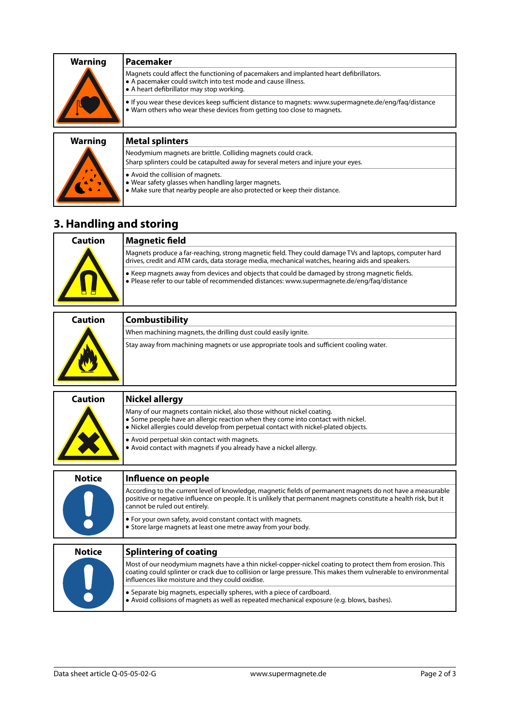| <b>Warning</b> | Pacemaker                                                                                                                                                                                           |
|----------------|-----------------------------------------------------------------------------------------------------------------------------------------------------------------------------------------------------|
|                | Magnets could affect the functioning of pacemakers and implanted heart defibrillators.<br>• A pacemaker could switch into test mode and cause illness.<br>• A heart defibrillator may stop working. |
|                | • If you wear these devices keep sufficient distance to magnets: www.supermagnete.de/eng/fag/distance<br>. Warn others who wear these devices from getting too close to magnets.                    |
|                |                                                                                                                                                                                                     |

#### **Warning Metal splinters**

Neodymium magnets are brittle. Colliding magnets could crack. Sharp splinters could be catapulted away for several meters and injure your eyes. **•** Avoid the collision of magnets. **•** Wear safety glasses when handling larger magnets. **•** Make sure that nearby people are also protected or keep their distance.

## **3. Handling and storing**

| Caution | <b>Magnetic field</b>                                                                                                                                                                                       |
|---------|-------------------------------------------------------------------------------------------------------------------------------------------------------------------------------------------------------------|
|         | Magnets produce a far-reaching, strong magnetic field. They could damage TVs and laptops, computer hard<br>drives, credit and ATM cards, data storage media, mechanical watches, hearing aids and speakers. |
|         | • Keep magnets away from devices and objects that could be damaged by strong magnetic fields.<br>• Please refer to our table of recommended distances: www.supermagnete.de/eng/fag/distance                 |

| <b>Caution</b> | <b>Combustibility</b>                                                                   |
|----------------|-----------------------------------------------------------------------------------------|
|                | When machining magnets, the drilling dust could easily ignite.                          |
|                | Stay away from machining magnets or use appropriate tools and sufficient cooling water. |

| <b>Caution</b> | <b>Nickel allergy</b>                                                                                                                                                                                                                                                            |
|----------------|----------------------------------------------------------------------------------------------------------------------------------------------------------------------------------------------------------------------------------------------------------------------------------|
|                | Many of our magnets contain nickel, also those without nickel coating.<br>• Some people have an allergic reaction when they come into contact with nickel.<br>• Nickel allergies could develop from perpetual contact with nickel-plated objects.                                |
|                | • Avoid perpetual skin contact with magnets.<br>• Avoid contact with magnets if you already have a nickel allergy.                                                                                                                                                               |
| <b>Notice</b>  | Influence on people                                                                                                                                                                                                                                                              |
| $\mathbf{L}$   | According to the current level of knowledge, magnetic fields of permanent magnets do not have a measurable<br>positive or negative influence on people. It is unlikely that permanent magnets constitute a health risk, but it<br>cannot be ruled out entirely.                  |
|                | • For your own safety, avoid constant contact with magnets.<br>• Store large magnets at least one metre away from your body.                                                                                                                                                     |
| <b>Notice</b>  | <b>Splintering of coating</b>                                                                                                                                                                                                                                                    |
|                | Most of our neodymium magnets have a thin nickel-copper-nickel coating to protect them from erosion. This<br>coating could splinter or crack due to collision or large pressure. This makes them vulnerable to environmental<br>influences like moisture and they could oxidise. |
|                | • Separate big magnets, especially spheres, with a piece of cardboard.<br>• Avoid collisions of magnets as well as repeated mechanical exposure (e.g. blows, bashes).                                                                                                            |